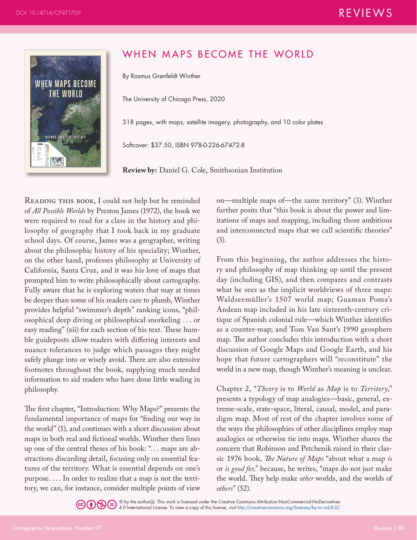

## WHEN MAPS BECOME THE WORLD

By Rasmus Grønfeldt Winther

The University of Chicago Press, 2020

318 pages, with maps, satellite imagery, photography, and 10 color plates

Softcover: \$37.50, ISBN 978-0-226-67472-8

**Review by:** Daniel G. Cole, Smithsonian Institution

READING THIS BOOK, I could not help but be reminded of *All Possible Worlds* by Preston James (1972), the book we were required to read for a class in the history and philosophy of geography that I took back in my graduate school days. Of course, James was a geographer, writing about the philosophic history of his speciality; Winther, on the other hand, professes philosophy at University of California, Santa Cruz, and it was his love of maps that prompted him to write philosophically about cartography. Fully aware that he is exploring waters that may at times be deeper than some of his readers care to plumb, Winther provides helpful "swimmer's depth" ranking icons, "philosophical deep diving or philosophical snorkeling . . . or easy reading" (xii) for each section of his text. These humble guideposts allow readers with differing interests and nuance tolerances to judge which passages they might safely plunge into or wisely avoid. There are also extensive footnotes throughout the book, supplying much needed information to aid readers who have done little wading in philosophy.

The first chapter, "Introduction: Why Maps?" presents the fundamental importance of maps for "finding our way in the world" (1), and continues with a short discussion about maps in both real and fictional worlds. Winther then lines up one of the central theses of his book: "... maps are abstractions discarding detail, focusing only on essential features of the territory. What is essential depends on one's purpose. . . . In order to realize that a map is not the territory, we can, for instance, consider multiple points of view

on—multiple maps of—the same territory" (3). Winther further posits that "this book is about the power and limitations of maps and mapping, including those ambitious and interconnected maps that we call scientific theories" (3).

From this beginning, the author addresses the history and philosophy of map thinking up until the present day (including GIS), and then compares and contrasts what he sees as the implicit worldviews of three maps: Waldseemüller's 1507 world map; Guaman Poma's Andean map included in his late sixteenth-century critique of Spanish colonial rule—which Winther identifies as a counter-map; and Tom Van Sant's 1990 geosphere map. The author concludes this introduction with a short discussion of Google Maps and Google Earth, and his hope that future cartographers will "reconstitute" the world in a new map, though Winther's meaning is unclear.

Chapter 2, "*Theory* is to *World* as *Map* is to *Territory*," presents a typology of map analogies—basic, general, extreme-scale, state-space, literal, causal, model, and paradigm map. Most of rest of the chapter involves some of the ways the philosophies of other disciplines employ map analogies or otherwise tie into maps. Winther shares the concern that Robinson and Petchenik raised in their classic 1976 book, *The Nature of Maps* "about what a map *is* or *is good for,*" because, he writes, "maps do not just make the world. They help make *other* worlds, and the worlds of *others*" (52).

© by the author(s). This work is licensed under the Creative Commons Attribution-NonCommercial-NoDerivatives 4.0 International License. To view a copy of this license, visit <http://creativecommons.org/licenses/by-nc-nd/4.0/>.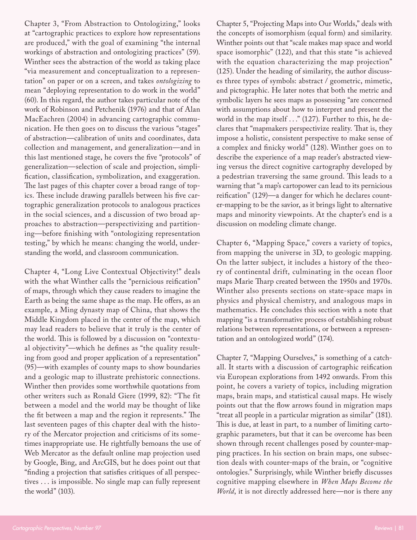Chapter 3, "From Abstraction to Ontologizing," looks at "cartographic practices to explore how representations are produced," with the goal of examining "the internal workings of abstraction and ontologizing practices" (59). Winther sees the abstraction of the world as taking place "via measurement and conceptualization to a representation" on paper or on a screen, and takes *ontologizing* to mean "deploying representation to do work in the world" (60). In this regard, the author takes particular note of the work of Robinson and Petchenik (1976) and that of Alan MacEachren (2004) in advancing cartographic communication. He then goes on to discuss the various "stages" of abstraction—calibration of units and coordinates, data collection and management, and generalization—and in this last mentioned stage, he covers the five "protocols" of generalization—selection of scale and projection, simplification, classification, symbolization, and exaggeration. The last pages of this chapter cover a broad range of topics. These include drawing parallels between his five cartographic generalization protocols to analogous practices in the social sciences, and a discussion of two broad approaches to abstraction—perspectivizing and partitioning—before finishing with "ontologizing representation testing," by which he means: changing the world, understanding the world, and classroom communication.

Chapter 4, "Long Live Contextual Objectivity!" deals with the what Winther calls the "pernicious reification" of maps, through which they cause readers to imagine the Earth as being the same shape as the map. He offers, as an example, a Ming dynasty map of China, that shows the Middle Kingdom placed in the center of the map, which may lead readers to believe that it truly is the center of the world. This is followed by a discussion on "contextual objectivity"—which he defines as "the quality resulting from good and proper application of a representation" (95)—with examples of county maps to show boundaries and a geologic map to illustrate prehistoric connections. Winther then provides some worthwhile quotations from other writers such as Ronald Giere (1999, 82): "The fit between a model and the world may be thought of like the fit between a map and the region it represents." The last seventeen pages of this chapter deal with the history of the Mercator projection and criticisms of its sometimes inappropriate use. He rightfully bemoans the use of Web Mercator as the default online map projection used by Google, Bing, and ArcGIS, but he does point out that "finding a projection that satisfies critiques of all perspectives . . . is impossible. No single map can fully represent the world" (103).

Chapter 5, "Projecting Maps into Our Worlds," deals with the concepts of isomorphism (equal form) and similarity. Winther points out that "scale makes map space and world space isomorphic" (122), and that this state "is achieved with the equation characterizing the map projection" (125). Under the heading of similarity, the author discusses three types of symbols: abstract / geometric, mimetic, and pictographic. He later notes that both the metric and symbolic layers he sees maps as possessing "are concerned with assumptions about how to interpret and present the world in the map itself . . ." (127). Further to this, he declares that "mapmakers perspectivize reality. That is, they impose a holistic, consistent perspective to make sense of a complex and finicky world" (128). Winther goes on to describe the experience of a map reader's abstracted viewing versus the direct cognitive cartography developed by a pedestrian traversing the same ground. This leads to a warning that "a map's cartopower can lead to its pernicious reification" (129)—a danger for which he declares counter-mapping to be the savior, as it brings light to alternative maps and minority viewpoints. At the chapter's end is a discussion on modeling climate change.

Chapter 6, "Mapping Space," covers a variety of topics, from mapping the universe in 3D, to geologic mapping. On the latter subject, it includes a history of the theory of continental drift, culminating in the ocean floor maps Marie Tharp created between the 1950s and 1970s. Winther also presents sections on state-space maps in physics and physical chemistry, and analogous maps in mathematics. He concludes this section with a note that mapping "is a transformative process of establishing robust relations between representations, or between a representation and an ontologized world" (174).

Chapter 7, "Mapping Ourselves," is something of a catchall. It starts with a discussion of cartographic reification via European explorations from 1492 onwards. From this point, he covers a variety of topics, including migration maps, brain maps, and statistical causal maps. He wisely points out that the flow arrows found in migration maps "treat all people in a particular migration as similar" (181). This is due, at least in part, to a number of limiting cartographic parameters, but that it can be overcome has been shown through recent challenges posed by counter-mapping practices. In his section on brain maps, one subsection deals with counter-maps of the brain, or "cognitive ontologies." Surprisingly, while Winther briefly discusses cognitive mapping elsewhere in *When Maps Become the World*, it is not directly addressed here—nor is there any